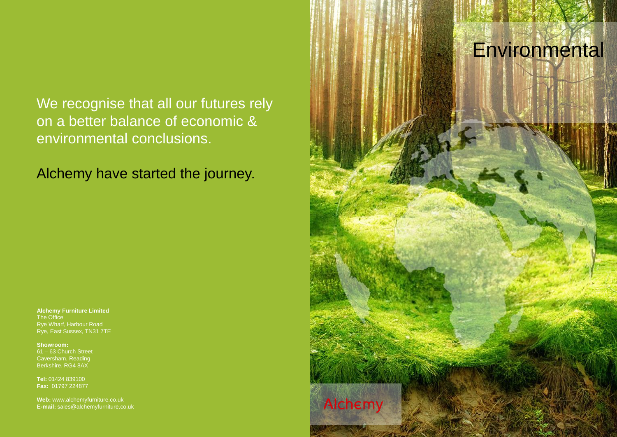# Environmental

We recognise that all our futures rely on a better balance of economic & environmental conclusions.

Alchemy have started the journey.

**Alchemy Furniture Limited** The Office Rye Wharf, Harbour Road Rye, East Sussex, TN31 7TE

**Showroom:** 61 – 63 Church Street Caversham, Reading Berkshire, RG4 8AX

**Tel:** 01424 839100 **Fax:** 01797 224877

**Web:** www.alchemyfurniture.co.uk **E-mail:** sales@alchemyfurniture.co.uk

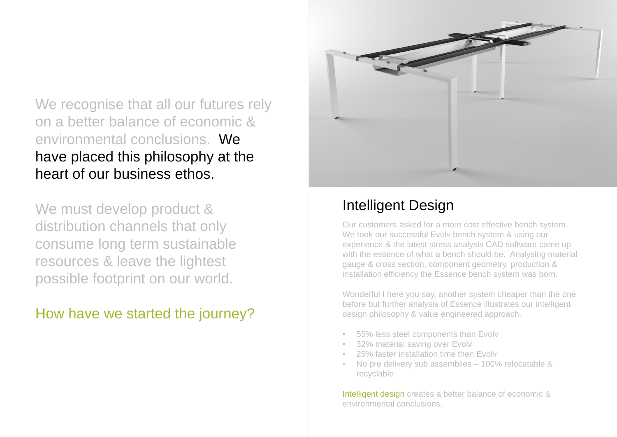We recognise that all our futures rely on a better balance of economic & environmental conclusions. We have placed this philosophy at the heart of our business ethos.

We must develop product & distribution channels that only consume long term sustainable resources & leave the lightest possible footprint on our world.

How have we started the journey?



### Intelligent Design

Our customers asked for a more cost effective bench system. We took our successful Evoly bench system & using our experience & the latest stress analysis CAD software came up with the essence of what a bench should be. Analysing material gauge & cross section, component geometry, production & installation efficiency the Essence bench system was born.

Intelligent design creates a better balance of economic & environmental conclusions.

Wonderful I here you say, another system cheaper than the one before but further analysis of Essence illustrates our intelligent design philosophy & value engineered approach.

- 55% less steel components than Evolv
- 32% material saving over Evolv
- 25% faster installation time then Evolv
- No pre delivery sub assemblies 100% relocatable & recyclable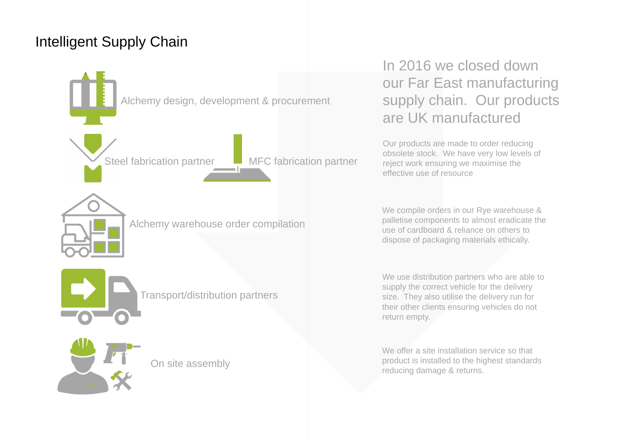### Intelligent Supply Chain



## In 2016 we closed down our Far East manufacturing supply chain. Our products are UK manufactured

Our products are made to order reducing obsolete stock. We have very low levels of reject work ensuring we maximise the effective use of resource

We offer a site installation service so that product is installed to the highest standards reducing damage & returns.

We compile orders in our Rye warehouse & palletise components to almost eradicate the use of cardboard & reliance on others to dispose of packaging materials ethically.

We use distribution partners who are able to supply the correct vehicle for the delivery size. They also utilise the delivery run for their other clients ensuring vehicles do not return empty.